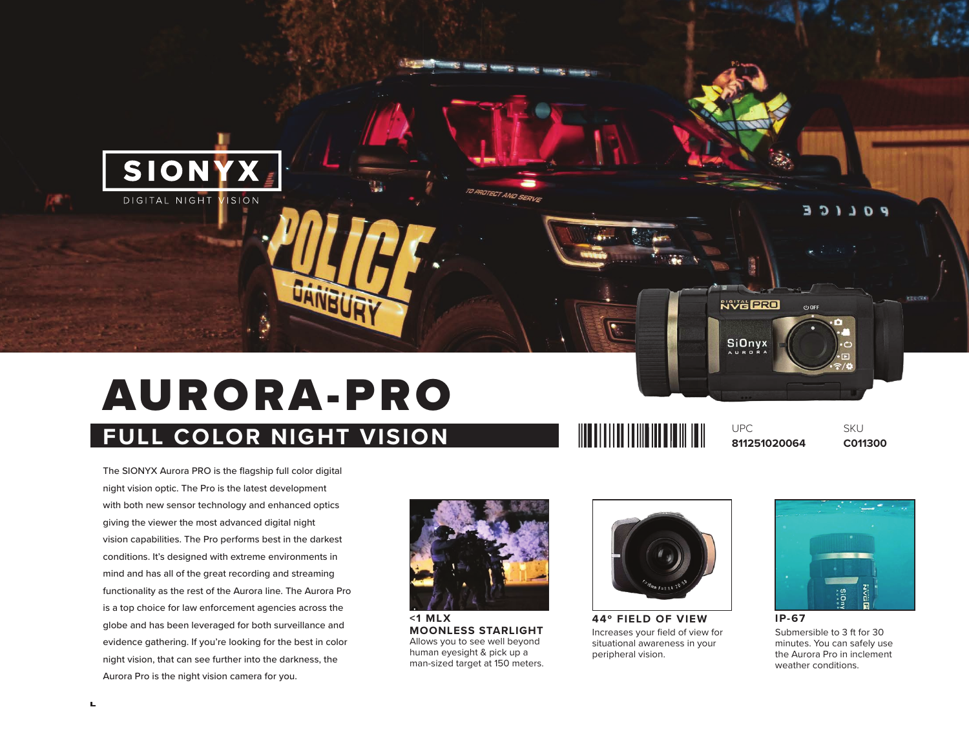

# AURORA-PRO

# **FULL COLOR NIGHT VISION**

The SIONYX Aurora PRO is the flagship full color digital night vision optic. The Pro is the latest development with both new sensor technology and enhanced optics giving the viewer the most advanced digital night vision capabilities. The Pro performs best in the darkest conditions. It's designed with extreme environments in mind and has all of the great recording and streaming functionality as the rest of the Aurora line. The Aurora Pro is a top choice for law enforcement agencies across the globe and has been leveraged for both surveillance and evidence gathering. If you're looking for the best in color night vision, that can see further into the darkness, the Aurora Pro is the night vision camera for you.



**MOONLESS STARLIGHT** Allows you to see well beyond human eyesight & pick up a man-sized target at 150 meters.



**WEIGHT AND A SHOP WEIGHT** 

UPC

**44º FIELD OF VIEW** Increases your field of view for situational awareness in your peripheral vision.



**SKU** 

**811251020064 C011300**

Submersible to 3 ft for 30 minutes. You can safely use the Aurora Pro in inclement weather conditions.